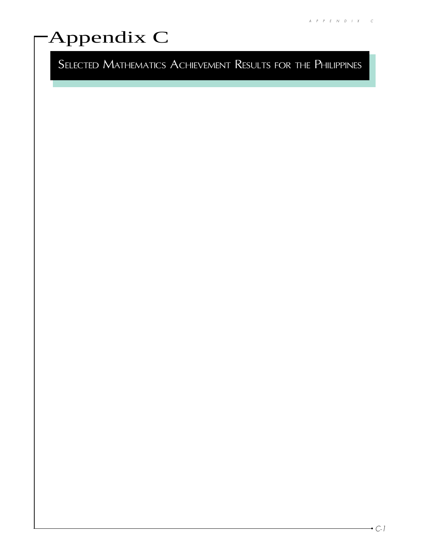# Appendix C

SELECTED MATHEMATICS ACHIEVEMENT RESULTS FOR THE PHILIPPINES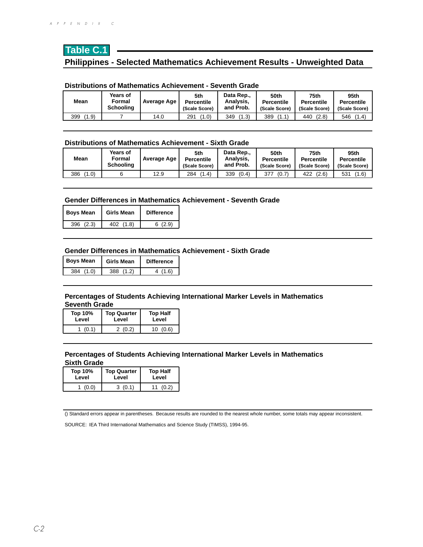# **Table C.1 Philippines - Selected Mathematics Achievement Results - Unweighted Data**

#### **Distributions of Mathematics Achievement - Seventh Grade**

| Mean         | Years of<br>Formal<br><b>Schooling</b> | Average Age | 5th<br><b>Percentile</b><br>(Scale Score) | Data Rep.,<br>Analysis.<br>and Prob. | 50th<br><b>Percentile</b><br>(Scale Score) | 75th<br><b>Percentile</b><br>(Scale Score) | 95th<br><b>Percentile</b><br>(Scale Score) |
|--------------|----------------------------------------|-------------|-------------------------------------------|--------------------------------------|--------------------------------------------|--------------------------------------------|--------------------------------------------|
| (1.9)<br>399 |                                        | 14.0        | (1.0)<br>291                              | (1.3)<br>349                         | 389<br>(1.1)                               | (2.8)<br>440                               | (1.4)<br>546                               |

#### **Distributions of Mathematics Achievement - Sixth Grade**

| Mean         | Years of<br>Formal<br><b>Schooling</b> | Average Age | 5th<br><b>Percentile</b><br>(Scale Score) | Data Rep<br>Analysis,<br>and Prob. | 50th<br><b>Percentile</b><br>(Scale Score) | 75th<br><b>Percentile</b><br>(Scale Score) | 95th<br><b>Percentile</b><br>(Scale Score) |
|--------------|----------------------------------------|-------------|-------------------------------------------|------------------------------------|--------------------------------------------|--------------------------------------------|--------------------------------------------|
| (1.0)<br>386 |                                        | 12.9        | (1.4)<br>284                              | (0.4)<br>339                       | 377<br>(0.7)                               | (2.6)<br>422                               | (1.6)<br>531                               |

#### **Gender Differences in Mathematics Achievement - Seventh Grade**

| <b>Boys Mean</b> | Girls Mean    | <b>Difference</b> |  |
|------------------|---------------|-------------------|--|
| 396(2.3)         | (1.8)<br>402. | 6(2.9)            |  |

#### **Gender Differences in Mathematics Achievement - Sixth Grade**

| <b>Boys Mean</b> | <b>Girls Mean</b> | <b>Difference</b> |  |
|------------------|-------------------|-------------------|--|
| (1.0)<br>384     | (1.2)<br>388      | 4 (1.6)           |  |

#### **Percentages of Students Achieving International Marker Levels in Mathematics Seventh Grade**

| <b>Top 10%</b> | <b>Top Quarter</b> | <b>Top Half</b> |
|----------------|--------------------|-----------------|
| Level          | Level              | Level           |
| (0.1)          | 2(0.2)             | 10(0.6)         |

#### **Percentages of Students Achieving International Marker Levels in Mathematics Sixth Grade**

| Top 10% | <b>Top Quarter</b> | <b>Top Half</b> |  |
|---------|--------------------|-----------------|--|
| Level   | Level              | Level           |  |
| (0.0)   | 3(0.1)             | (0.2)           |  |

() Standard errors appear in parentheses. Because results are rounded to the nearest whole number, some totals may appear inconsistent.

SOURCE: IEA Third International Mathematics and Science Study (TIMSS), 1994-95.